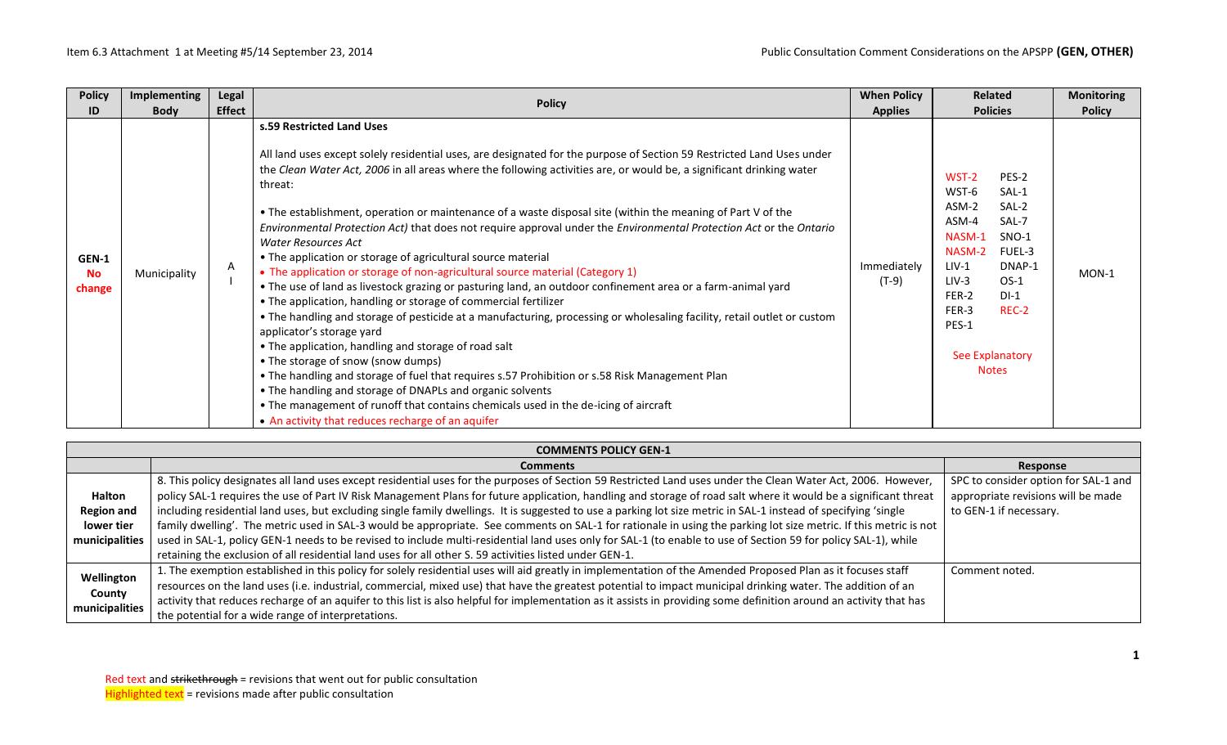| <b>Policy</b>                | Implementing<br>Legal        |                                                                                                                                                                                                                                                                                                                                                                                                                                                                                                                                                                                                                                                                                                                                                                                                                                                                                                                                                                                                                                                                                                                                                                                                                                                                                                                                                                                                                                                       | <b>When Policy</b>     | <b>Related</b>                                                                                                                                                                                                                         | <b>Monitoring</b> |
|------------------------------|------------------------------|-------------------------------------------------------------------------------------------------------------------------------------------------------------------------------------------------------------------------------------------------------------------------------------------------------------------------------------------------------------------------------------------------------------------------------------------------------------------------------------------------------------------------------------------------------------------------------------------------------------------------------------------------------------------------------------------------------------------------------------------------------------------------------------------------------------------------------------------------------------------------------------------------------------------------------------------------------------------------------------------------------------------------------------------------------------------------------------------------------------------------------------------------------------------------------------------------------------------------------------------------------------------------------------------------------------------------------------------------------------------------------------------------------------------------------------------------------|------------------------|----------------------------------------------------------------------------------------------------------------------------------------------------------------------------------------------------------------------------------------|-------------------|
| ID                           | <b>Effect</b><br><b>Body</b> | <b>Policy</b>                                                                                                                                                                                                                                                                                                                                                                                                                                                                                                                                                                                                                                                                                                                                                                                                                                                                                                                                                                                                                                                                                                                                                                                                                                                                                                                                                                                                                                         | <b>Applies</b>         | <b>Policies</b>                                                                                                                                                                                                                        | <b>Policy</b>     |
| GEN-1<br><b>No</b><br>change | A<br>Municipality            | s.59 Restricted Land Uses<br>All land uses except solely residential uses, are designated for the purpose of Section 59 Restricted Land Uses under<br>the Clean Water Act, 2006 in all areas where the following activities are, or would be, a significant drinking water<br>threat:<br>. The establishment, operation or maintenance of a waste disposal site (within the meaning of Part V of the<br>Environmental Protection Act) that does not require approval under the Environmental Protection Act or the Ontario<br>Water Resources Act<br>• The application or storage of agricultural source material<br>• The application or storage of non-agricultural source material (Category 1)<br>• The use of land as livestock grazing or pasturing land, an outdoor confinement area or a farm-animal yard<br>• The application, handling or storage of commercial fertilizer<br>• The handling and storage of pesticide at a manufacturing, processing or wholesaling facility, retail outlet or custom<br>applicator's storage yard<br>• The application, handling and storage of road salt<br>• The storage of snow (snow dumps)<br>. The handling and storage of fuel that requires s.57 Prohibition or s.58 Risk Management Plan<br>• The handling and storage of DNAPLs and organic solvents<br>• The management of runoff that contains chemicals used in the de-icing of aircraft<br>• An activity that reduces recharge of an aquifer | Immediately<br>$(T-9)$ | WST-2<br>PES-2<br>WST-6<br>SAL-1<br>ASM-2<br>SAL-2<br>ASM-4<br>SAL-7<br>NASM-1<br>SNO-1<br>NASM-2<br>FUEL-3<br>$LIV-1$<br>DNAP-1<br>$LIV-3$<br>$OS-1$<br>$DI-1$<br>FER-2<br>FER-3<br>REC-2<br>PES-1<br>See Explanatory<br><b>Notes</b> | $MON-1$           |

|                          | <b>COMMENTS POLICY GEN-1</b>                                                                                                                                        |                                      |  |  |  |  |  |
|--------------------------|---------------------------------------------------------------------------------------------------------------------------------------------------------------------|--------------------------------------|--|--|--|--|--|
|                          | <b>Comments</b>                                                                                                                                                     | Response                             |  |  |  |  |  |
|                          | 8. This policy designates all land uses except residential uses for the purposes of Section 59 Restricted Land uses under the Clean Water Act, 2006. However,       | SPC to consider option for SAL-1 and |  |  |  |  |  |
| <b>Halton</b>            | policy SAL-1 requires the use of Part IV Risk Management Plans for future application, handling and storage of road salt where it would be a significant threat     | appropriate revisions will be made   |  |  |  |  |  |
| <b>Region and</b>        | including residential land uses, but excluding single family dwellings. It is suggested to use a parking lot size metric in SAL-1 instead of specifying 'single     | to GEN-1 if necessary.               |  |  |  |  |  |
| lower tier               | family dwelling'. The metric used in SAL-3 would be appropriate. See comments on SAL-1 for rationale in using the parking lot size metric. If this metric is not    |                                      |  |  |  |  |  |
| municipalities           | used in SAL-1, policy GEN-1 needs to be revised to include multi-residential land uses only for SAL-1 (to enable to use of Section 59 for policy SAL-1), while      |                                      |  |  |  |  |  |
|                          | retaining the exclusion of all residential land uses for all other S. 59 activities listed under GEN-1.                                                             |                                      |  |  |  |  |  |
| Wellington               | . The exemption established in this policy for solely residential uses will aid greatly in implementation of the Amended Proposed Plan as it focuses staff          | Comment noted.                       |  |  |  |  |  |
| County<br>municipalities | resources on the land uses (i.e. industrial, commercial, mixed use) that have the greatest potential to impact municipal drinking water. The addition of an         |                                      |  |  |  |  |  |
|                          | activity that reduces recharge of an aquifer to this list is also helpful for implementation as it assists in providing some definition around an activity that has |                                      |  |  |  |  |  |
|                          | the potential for a wide range of interpretations.                                                                                                                  |                                      |  |  |  |  |  |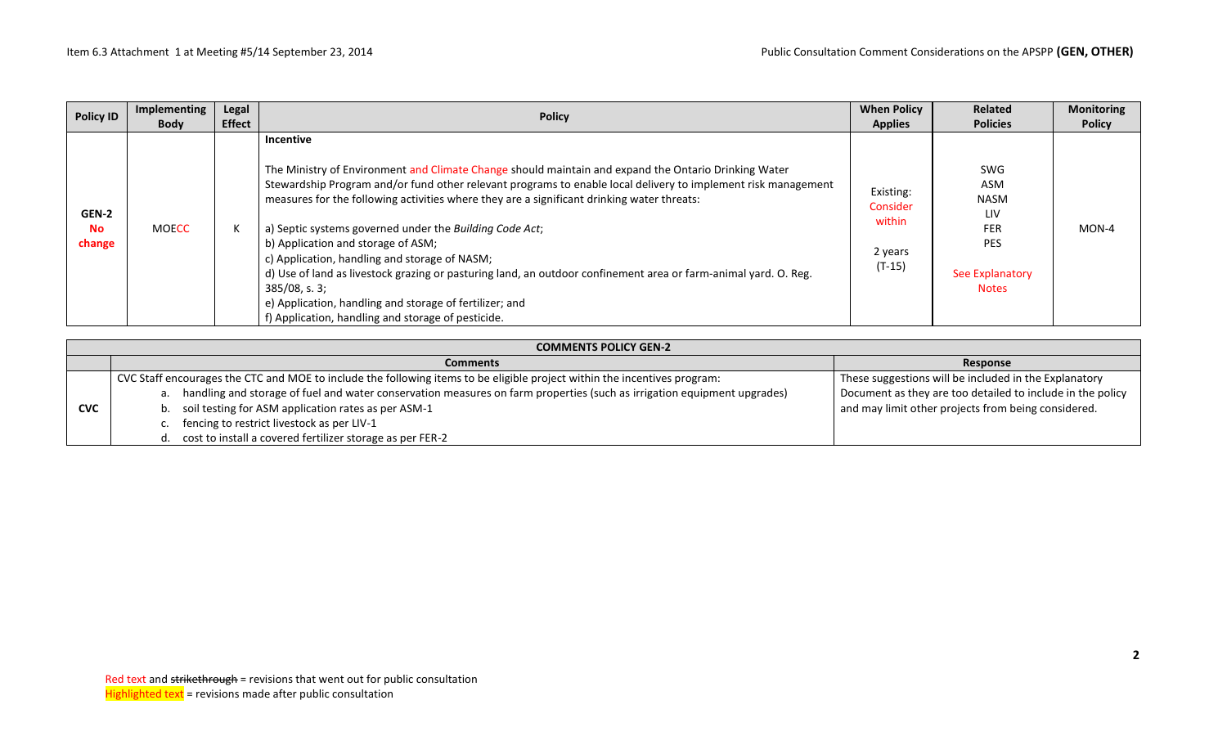| <b>Policy ID</b>             | Implementing<br><b>Body</b> | Legal<br><b>Effect</b> | <b>Policy</b>                                                                                                                                                                                                                                                                                                                                                                                                                                                                                                                                                                                                                                                                                                                              | <b>When Policy</b><br><b>Applies</b>                   | <b>Related</b><br><b>Policies</b>                                                               | <b>Monitoring</b><br><b>Policy</b> |
|------------------------------|-----------------------------|------------------------|--------------------------------------------------------------------------------------------------------------------------------------------------------------------------------------------------------------------------------------------------------------------------------------------------------------------------------------------------------------------------------------------------------------------------------------------------------------------------------------------------------------------------------------------------------------------------------------------------------------------------------------------------------------------------------------------------------------------------------------------|--------------------------------------------------------|-------------------------------------------------------------------------------------------------|------------------------------------|
| GEN-2<br><b>No</b><br>change | <b>MOECC</b>                |                        | Incentive<br>The Ministry of Environment and Climate Change should maintain and expand the Ontario Drinking Water<br>Stewardship Program and/or fund other relevant programs to enable local delivery to implement risk management<br>measures for the following activities where they are a significant drinking water threats:<br>a) Septic systems governed under the Building Code Act;<br>b) Application and storage of ASM;<br>c) Application, handling and storage of NASM;<br>d) Use of land as livestock grazing or pasturing land, an outdoor confinement area or farm-animal yard. O. Reg.<br>$385/08$ , s. 3;<br>e) Application, handling and storage of fertilizer; and<br>f) Application, handling and storage of pesticide. | Existing:<br>Consider<br>within<br>2 years<br>$(T-15)$ | SWG<br>ASM<br><b>NASM</b><br>LIV<br><b>FER</b><br><b>PES</b><br>See Explanatory<br><b>Notes</b> | $MON-4$                            |

|            | <b>COMMENTS POLICY GEN-2</b>                                                                                               |                                                            |  |  |  |  |  |  |
|------------|----------------------------------------------------------------------------------------------------------------------------|------------------------------------------------------------|--|--|--|--|--|--|
|            | <b>Comments</b>                                                                                                            | Response                                                   |  |  |  |  |  |  |
|            | CVC Staff encourages the CTC and MOE to include the following items to be eligible project within the incentives program:  | These suggestions will be included in the Explanatory      |  |  |  |  |  |  |
|            | a. handling and storage of fuel and water conservation measures on farm properties (such as irrigation equipment upgrades) | Document as they are too detailed to include in the policy |  |  |  |  |  |  |
| <b>CVC</b> | b. soil testing for ASM application rates as per ASM-1                                                                     | and may limit other projects from being considered.        |  |  |  |  |  |  |
|            | c. fencing to restrict livestock as per LIV-1                                                                              |                                                            |  |  |  |  |  |  |
|            | d. cost to install a covered fertilizer storage as per FER-2                                                               |                                                            |  |  |  |  |  |  |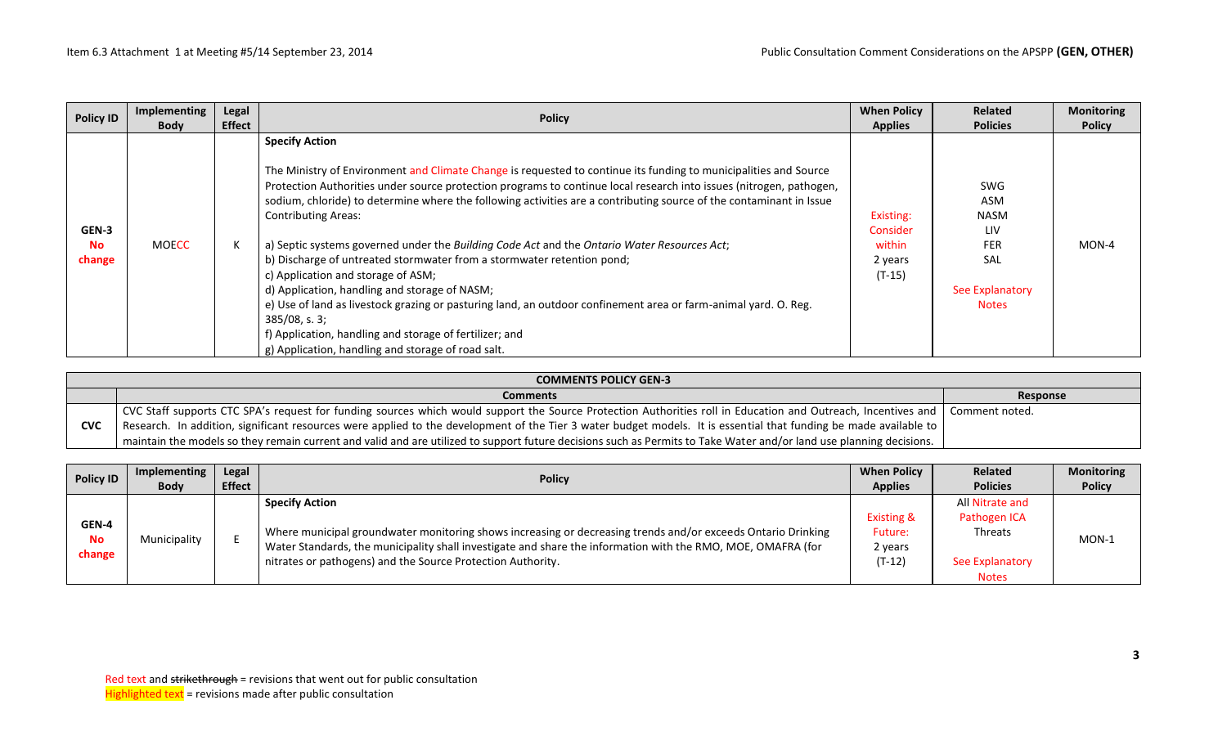| <b>Policy ID</b>             | Implementing<br><b>Body</b> | Legal<br><b>Effect</b> | <b>Policy</b>                                                                                                                                                                                                                                                                                                                                                                                                                                                                                                                                                                                                                                                                                                                                                                                                                                                                                                                                 | <b>When Policy</b><br><b>Applies</b>                   | <b>Related</b><br><b>Policies</b>                                                                      | <b>Monitoring</b><br><b>Policy</b> |
|------------------------------|-----------------------------|------------------------|-----------------------------------------------------------------------------------------------------------------------------------------------------------------------------------------------------------------------------------------------------------------------------------------------------------------------------------------------------------------------------------------------------------------------------------------------------------------------------------------------------------------------------------------------------------------------------------------------------------------------------------------------------------------------------------------------------------------------------------------------------------------------------------------------------------------------------------------------------------------------------------------------------------------------------------------------|--------------------------------------------------------|--------------------------------------------------------------------------------------------------------|------------------------------------|
| GEN-3<br><b>No</b><br>change | <b>MOECC</b>                |                        | <b>Specify Action</b><br>The Ministry of Environment and Climate Change is requested to continue its funding to municipalities and Source<br>Protection Authorities under source protection programs to continue local research into issues (nitrogen, pathogen,<br>sodium, chloride) to determine where the following activities are a contributing source of the contaminant in Issue<br><b>Contributing Areas:</b><br>a) Septic systems governed under the Building Code Act and the Ontario Water Resources Act;<br>b) Discharge of untreated stormwater from a stormwater retention pond;<br>c) Application and storage of ASM;<br>d) Application, handling and storage of NASM;<br>e) Use of land as livestock grazing or pasturing land, an outdoor confinement area or farm-animal yard. O. Reg.<br>$385/08$ , s. 3;<br>f) Application, handling and storage of fertilizer; and<br>g) Application, handling and storage of road salt. | Existing:<br>Consider<br>within<br>2 years<br>$(T-15)$ | <b>SWG</b><br>ASM<br><b>NASM</b><br><b>LIV</b><br><b>FER</b><br>SAL<br>See Explanatory<br><b>Notes</b> | MON-4                              |

| <b>COMMENTS POLICY GEN-3</b> |                                                                                                                                                                                |                 |  |  |  |  |
|------------------------------|--------------------------------------------------------------------------------------------------------------------------------------------------------------------------------|-----------------|--|--|--|--|
|                              | <b>Comments</b>                                                                                                                                                                | <b>Response</b> |  |  |  |  |
|                              | CVC Staff supports CTC SPA's request for funding sources which would support the Source Protection Authorities roll in Education and Outreach, Incentives and   Comment noted. |                 |  |  |  |  |
| <b>CVC</b>                   | Research. In addition, significant resources were applied to the development of the Tier 3 water budget models. It is essential that funding be made available to              |                 |  |  |  |  |
|                              | maintain the models so they remain current and valid and are utilized to support future decisions such as Permits to Take Water and/or land use planning decisions.            |                 |  |  |  |  |

| <b>Policy ID</b>             | Implementing<br><b>Body</b> | Legal<br><b>Effect</b> | <b>Policy</b>                                                                                                                                                                                                                                                                                                        | <b>When Policy</b><br><b>Applies</b>                    | <b>Related</b><br><b>Policies</b>                                             | <b>Monitoring</b><br><b>Policy</b> |
|------------------------------|-----------------------------|------------------------|----------------------------------------------------------------------------------------------------------------------------------------------------------------------------------------------------------------------------------------------------------------------------------------------------------------------|---------------------------------------------------------|-------------------------------------------------------------------------------|------------------------------------|
| GEN-4<br><b>No</b><br>change | Municipality                |                        | <b>Specify Action</b><br>Where municipal groundwater monitoring shows increasing or decreasing trends and/or exceeds Ontario Drinking<br>Water Standards, the municipality shall investigate and share the information with the RMO, MOE, OMAFRA (for<br>nitrates or pathogens) and the Source Protection Authority. | <b>Existing &amp;</b><br>Future:<br>2 years<br>$(T-12)$ | All Nitrate and<br>Pathogen ICA<br>Threats<br>See Explanatory<br><b>Notes</b> | MON-1                              |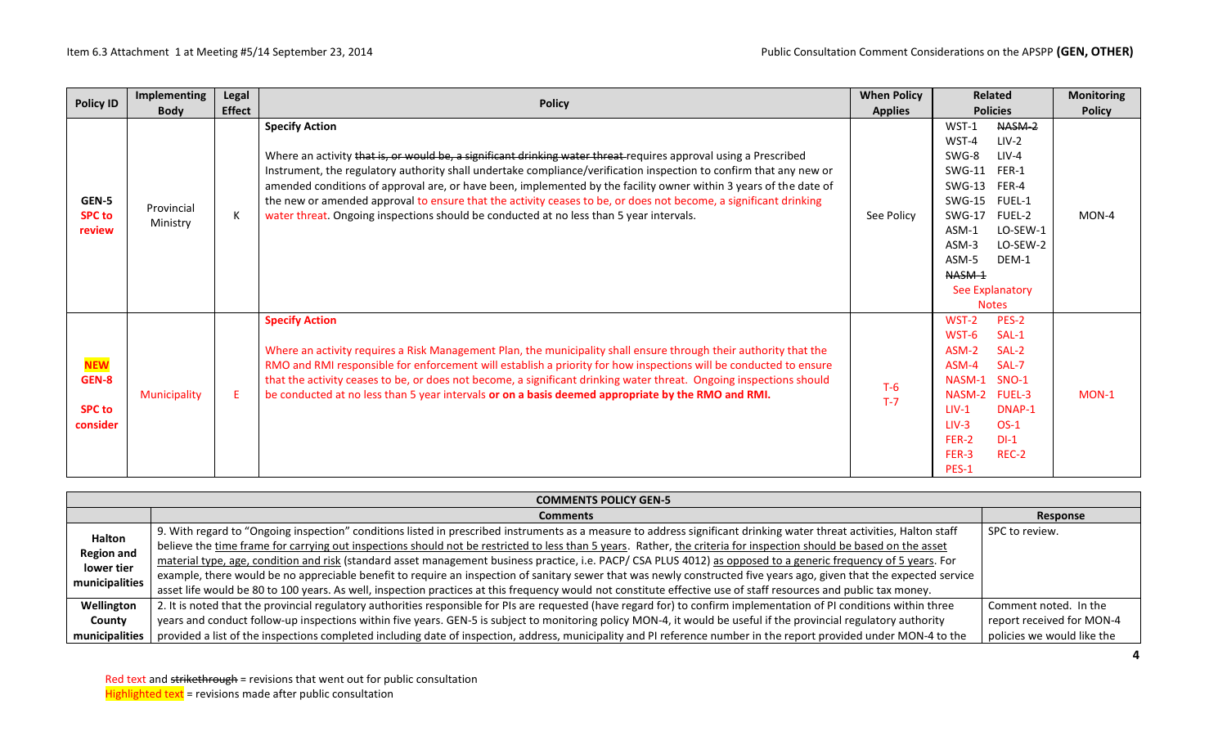| <b>Policy ID</b>                                 | <b>Implementing</b><br><b>Body</b> | Legal<br><b>Effect</b> | <b>Policy</b>                                                                                                                                                                                                                                                                                                                                                                                                                                                                                                                                                                                       | <b>When Policy</b><br><b>Applies</b> | <b>Related</b><br><b>Policies</b>                                                                                                                                                                                                                                                   | <b>Monitoring</b><br><b>Policy</b> |
|--------------------------------------------------|------------------------------------|------------------------|-----------------------------------------------------------------------------------------------------------------------------------------------------------------------------------------------------------------------------------------------------------------------------------------------------------------------------------------------------------------------------------------------------------------------------------------------------------------------------------------------------------------------------------------------------------------------------------------------------|--------------------------------------|-------------------------------------------------------------------------------------------------------------------------------------------------------------------------------------------------------------------------------------------------------------------------------------|------------------------------------|
| GEN-5<br><b>SPC to</b><br>review                 | Provincial<br>Ministry             | K                      | <b>Specify Action</b><br>Where an activity that is, or would be, a significant drinking water threat requires approval using a Prescribed<br>Instrument, the regulatory authority shall undertake compliance/verification inspection to confirm that any new or<br>amended conditions of approval are, or have been, implemented by the facility owner within 3 years of the date of<br>the new or amended approval to ensure that the activity ceases to be, or does not become, a significant drinking<br>water threat. Ongoing inspections should be conducted at no less than 5 year intervals. | See Policy                           | $WST-1$<br>NASM-2<br>WST-4<br>$LIV-2$<br>SWG-8<br>$LIV-4$<br><b>SWG-11</b><br>FER-1<br><b>SWG-13</b><br>FER-4<br><b>SWG-15</b><br>FUEL-1<br><b>SWG-17</b><br><b>FUEL-2</b><br>LO-SEW-1<br>ASM-1<br>LO-SEW-2<br>ASM-3<br>ASM-5<br>DEM-1<br>NASM-1<br>See Explanatory<br><b>Notes</b> | MON-4                              |
| <b>NEW</b><br>GEN-8<br><b>SPC to</b><br>consider | Municipality                       | F.                     | <b>Specify Action</b><br>Where an activity requires a Risk Management Plan, the municipality shall ensure through their authority that the<br>RMO and RMI responsible for enforcement will establish a priority for how inspections will be conducted to ensure<br>that the activity ceases to be, or does not become, a significant drinking water threat. Ongoing inspections should<br>be conducted at no less than 5 year intervals or on a basis deemed appropriate by the RMO and RMI.                                                                                                        | $T-6$<br>$T-7$                       | WST-2<br>PES-2<br>WST-6<br>SAL-1<br>ASM-2<br>SAL-2<br>ASM-4<br>SAL-7<br>NASM-1<br>SNO-1<br>NASM-2 FUEL-3<br>$LIV-1$<br>DNAP-1<br>$OS-1$<br>$LIV-3$<br>FER-2<br>$DI-1$<br>FER-3<br>REC-2<br>PES-1                                                                                    | $MON-1$                            |

|                   | <b>COMMENTS POLICY GEN-5</b>                                                                                                                                          |                            |  |  |  |  |
|-------------------|-----------------------------------------------------------------------------------------------------------------------------------------------------------------------|----------------------------|--|--|--|--|
|                   | <b>Comments</b>                                                                                                                                                       | Response                   |  |  |  |  |
| Halton            | 9. With regard to "Ongoing inspection" conditions listed in prescribed instruments as a measure to address significant drinking water threat activities, Halton staff | SPC to review.             |  |  |  |  |
| <b>Region and</b> | believe the time frame for carrying out inspections should not be restricted to less than 5 years. Rather, the criteria for inspection should be based on the asset   |                            |  |  |  |  |
| lower tier        | material type, age, condition and risk (standard asset management business practice, i.e. PACP/ CSA PLUS 4012) as opposed to a generic frequency of 5 years. For      |                            |  |  |  |  |
| municipalities    | example, there would be no appreciable benefit to require an inspection of sanitary sewer that was newly constructed five years ago, given that the expected service  |                            |  |  |  |  |
|                   | asset life would be 80 to 100 years. As well, inspection practices at this frequency would not constitute effective use of staff resources and public tax money.      |                            |  |  |  |  |
| Wellington        | 2. It is noted that the provincial regulatory authorities responsible for PIs are requested (have regard for) to confirm implementation of PI conditions within three | Comment noted. In the      |  |  |  |  |
| County            | years and conduct follow-up inspections within five years. GEN-5 is subject to monitoring policy MON-4, it would be useful if the provincial regulatory authority     | report received for MON-4  |  |  |  |  |
| municipalities    | provided a list of the inspections completed including date of inspection, address, municipality and PI reference number in the report provided under MON-4 to the    | policies we would like the |  |  |  |  |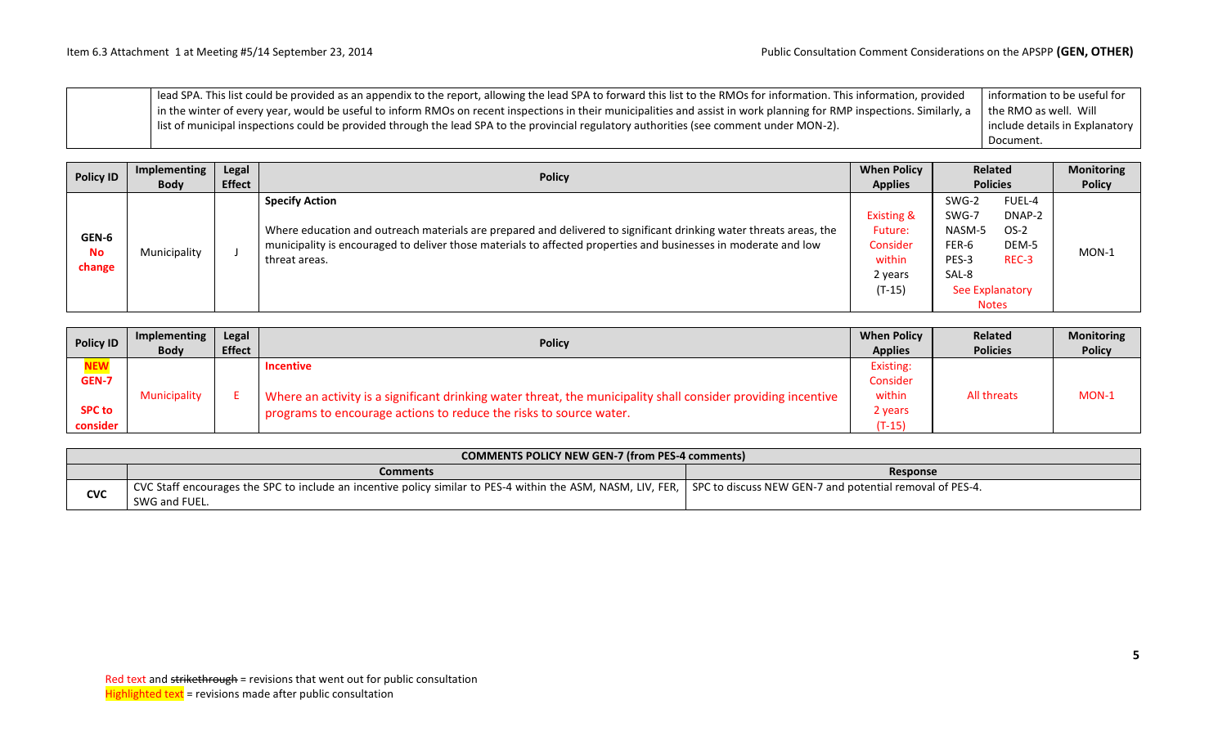| lead SPA. This list could be provided as an appendix to the report, allowing the lead SPA to forward this list to the RMOs for information. This information, provided              | information to be useful for   |
|-------------------------------------------------------------------------------------------------------------------------------------------------------------------------------------|--------------------------------|
| in the winter of every year, would be useful to inform RMOs on recent inspections in their municipalities and assist in work planning for RMP inspections. Similarly, a $\parallel$ | I the RMO as well. Will        |
| I list of municipal inspections could be provided through the lead SPA to the provincial regulatory authorities (see comment under MON-2).                                          | include details in Explanatory |
|                                                                                                                                                                                     | Document.                      |

| <b>Policy ID</b>             | Legal<br>Implementing | <b>Policy</b> | <b>When Policy</b>                                                                                                                                                                                                                                                              | <b>Related</b>                                                                |                                                                                        | <b>Monitoring</b>                            |               |
|------------------------------|-----------------------|---------------|---------------------------------------------------------------------------------------------------------------------------------------------------------------------------------------------------------------------------------------------------------------------------------|-------------------------------------------------------------------------------|----------------------------------------------------------------------------------------|----------------------------------------------|---------------|
|                              | <b>Body</b>           | <b>Effect</b> |                                                                                                                                                                                                                                                                                 | <b>Applies</b>                                                                | <b>Policies</b>                                                                        |                                              | <b>Policy</b> |
| GEN-6<br><b>No</b><br>change | Municipality          |               | <b>Specify Action</b><br>Where education and outreach materials are prepared and delivered to significant drinking water threats areas, the<br>municipality is encouraged to deliver those materials to affected properties and businesses in moderate and low<br>threat areas. | <b>Existing &amp;</b><br>Future:<br>Consider<br>within<br>2 years<br>$(T-15)$ | SWG-2<br>SWG-7<br>NASM-5<br>FER-6<br>PES-3<br>SAL-8<br>See Explanatory<br><b>Notes</b> | FUEL-4<br>DNAP-2<br>$OS-2$<br>DEM-5<br>REC-3 | $MON-1$       |

| <b>Policy ID</b> | Implementing        | Legal         | <b>Policy</b>                                                                                                 | <b>When Policy</b> | Related         | <b>Monitoring</b> |
|------------------|---------------------|---------------|---------------------------------------------------------------------------------------------------------------|--------------------|-----------------|-------------------|
|                  | <b>Body</b>         | <b>Effect</b> |                                                                                                               | <b>Applies</b>     | <b>Policies</b> | <b>Policy</b>     |
| <b>NEW</b>       |                     |               | <b>Incentive</b>                                                                                              | Existing:          |                 |                   |
| GEN-7            |                     |               |                                                                                                               | Consider           |                 |                   |
|                  | <b>Municipality</b> |               | Where an activity is a significant drinking water threat, the municipality shall consider providing incentive | within             | All threats     | MON-1             |
| <b>SPC to</b>    |                     |               | programs to encourage actions to reduce the risks to source water.                                            | 2 years            |                 |                   |
| consider         |                     |               |                                                                                                               | $(T-15)$           |                 |                   |

| <b>COMMENTS POLICY NEW GEN-7 (from PES-4 comments)</b> |                                                                                                                                                                         |                 |  |  |  |  |  |
|--------------------------------------------------------|-------------------------------------------------------------------------------------------------------------------------------------------------------------------------|-----------------|--|--|--|--|--|
|                                                        | <b>Comments</b>                                                                                                                                                         | <b>Response</b> |  |  |  |  |  |
| <b>CVC</b>                                             | CVC Staff encourages the SPC to include an incentive policy similar to PES-4 within the ASM, NASM, LIV, FER,   SPC to discuss NEW GEN-7 and potential removal of PES-4. |                 |  |  |  |  |  |
|                                                        | SWG and FUEL.                                                                                                                                                           |                 |  |  |  |  |  |